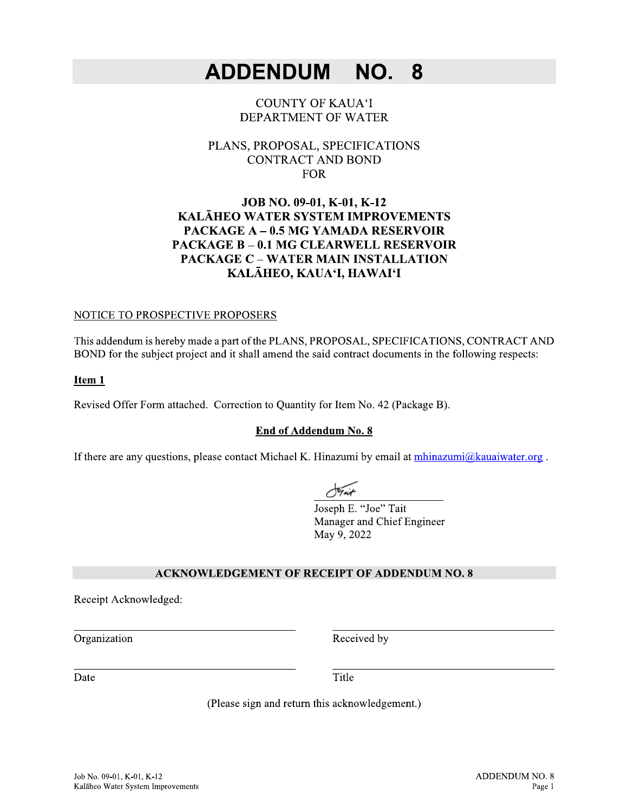#### **ADDENDUM** NO. 8

## **COUNTY OF KAUA'I** DEPARTMENT OF WATER

## PLANS, PROPOSAL, SPECIFICATIONS **CONTRACT AND BOND FOR**

## JOB NO. 09-01, K-01, K-12 KALĀHEO WATER SYSTEM IMPROVEMENTS **PACKAGE A - 0.5 MG YAMADA RESERVOIR PACKAGE B - 0.1 MG CLEARWELL RESERVOIR PACKAGE C - WATER MAIN INSTALLATION** KALĀHEO, KAUA'I, HAWAI'I

## NOTICE TO PROSPECTIVE PROPOSERS

This addendum is hereby made a part of the PLANS, PROPOSAL, SPECIFICATIONS, CONTRACT AND BOND for the subject project and it shall amend the said contract documents in the following respects:

### Item 1

Revised Offer Form attached. Correction to Quantity for Item No. 42 (Package B).

### End of Addendum No. 8

If there are any questions, please contact Michael K. Hinazumi by email at mhinazumi@kauaiwater.org.

Joseph E. "Joe" Tait Manager and Chief Engineer May 9, 2022

### **ACKNOWLEDGEMENT OF RECEIPT OF ADDENDUM NO. 8**

Receipt Acknowledged:

Organization

Received by

Date

Title

(Please sign and return this acknowledgement.)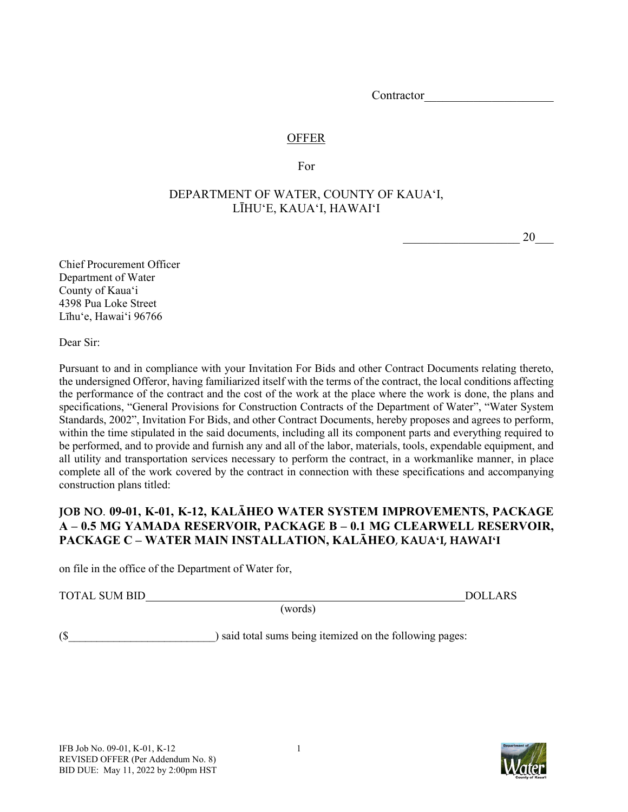Contractor

## **OFFER**

For

## DEPARTMENT OF WATER, COUNTY OF KAUAʻI, LĪHUʻE, KAUAʻI, HAWAIʻI

 $20$ 

Chief Procurement Officer Department of Water County of Kauaʻi 4398 Pua Loke Street Līhuʻe, Hawaiʻi 96766

Dear Sir:

Pursuant to and in compliance with your Invitation For Bids and other Contract Documents relating thereto, the undersigned Offeror, having familiarized itself with the terms of the contract, the local conditions affecting the performance of the contract and the cost of the work at the place where the work is done, the plans and specifications, "General Provisions for Construction Contracts of the Department of Water", "Water System Standards, 2002", Invitation For Bids, and other Contract Documents, hereby proposes and agrees to perform, within the time stipulated in the said documents, including all its component parts and everything required to be performed, and to provide and furnish any and all of the labor, materials, tools, expendable equipment, and all utility and transportation services necessary to perform the contract, in a workmanlike manner, in place complete all of the work covered by the contract in connection with these specifications and accompanying construction plans titled:

## **JOB NO**. **09-01, K-01, K-12, KALĀHEO WATER SYSTEM IMPROVEMENTS, PACKAGE A – 0.5 MG YAMADA RESERVOIR, PACKAGE B – 0.1 MG CLEARWELL RESERVOIR, PACKAGE C – WATER MAIN INSTALLATION, KALĀHEO**, **KAUAʻI, HAWAIʻI**

on file in the office of the Department of Water for,

TOTAL SUM BID DOLLARS

(words)

(\$ ) said total sums being itemized on the following pages:

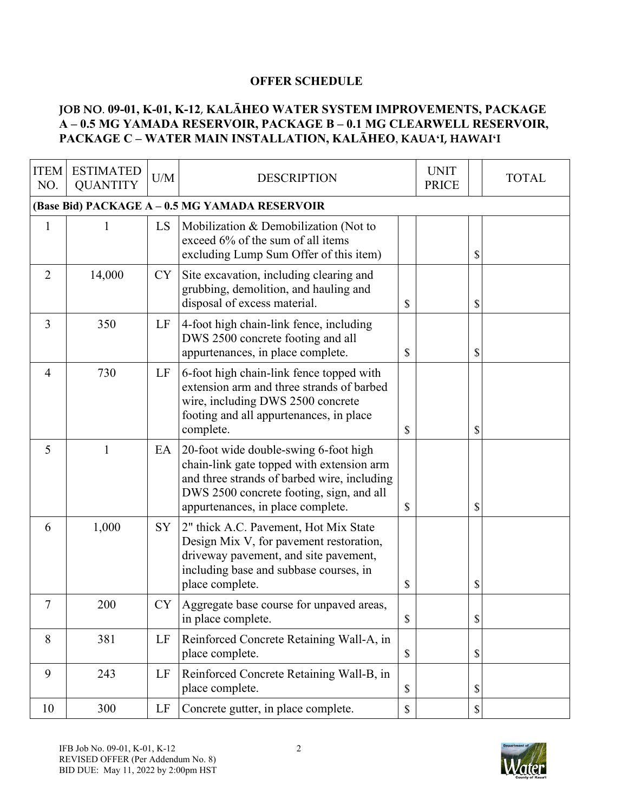## **OFFER SCHEDULE**

## **JOB NO**. **09-01, K-01, K-12**, **KALĀHEO WATER SYSTEM IMPROVEMENTS, PACKAGE A – 0.5 MG YAMADA RESERVOIR, PACKAGE B – 0.1 MG CLEARWELL RESERVOIR, PACKAGE C – WATER MAIN INSTALLATION, KALĀHEO**, **KAUAʻI, HAWAIʻI**

| <b>ITEM</b><br>NO. | <b>ESTIMATED</b><br><b>QUANTITY</b> | U/M       | <b>DESCRIPTION</b>                                                                                                                                                                                                 |               | <b>UNIT</b><br><b>PRICE</b> |                           | <b>TOTAL</b> |
|--------------------|-------------------------------------|-----------|--------------------------------------------------------------------------------------------------------------------------------------------------------------------------------------------------------------------|---------------|-----------------------------|---------------------------|--------------|
|                    |                                     |           | (Base Bid) PACKAGE A - 0.5 MG YAMADA RESERVOIR                                                                                                                                                                     |               |                             |                           |              |
| $\mathbf{1}$       |                                     | LS        | Mobilization & Demobilization (Not to<br>exceed 6% of the sum of all items<br>excluding Lump Sum Offer of this item)                                                                                               |               |                             | \$                        |              |
| $\overline{2}$     | 14,000                              | CY        | Site excavation, including clearing and<br>grubbing, demolition, and hauling and<br>disposal of excess material.                                                                                                   | \$            |                             | \$                        |              |
| $\overline{3}$     | 350                                 | LF        | 4-foot high chain-link fence, including<br>DWS 2500 concrete footing and all<br>appurtenances, in place complete.                                                                                                  | \$            |                             | \$                        |              |
| $\overline{4}$     | 730                                 | LF        | 6-foot high chain-link fence topped with<br>extension arm and three strands of barbed<br>wire, including DWS 2500 concrete<br>footing and all appurtenances, in place<br>complete.                                 | \$            |                             | \$                        |              |
| 5                  | 1                                   | EA        | 20-foot wide double-swing 6-foot high<br>chain-link gate topped with extension arm<br>and three strands of barbed wire, including<br>DWS 2500 concrete footing, sign, and all<br>appurtenances, in place complete. | \$            |                             | \$                        |              |
| 6                  | 1,000                               | SY        | 2" thick A.C. Pavement, Hot Mix State<br>Design Mix V, for pavement restoration,<br>driveway pavement, and site pavement,<br>including base and subbase courses, in<br>place complete.                             | $\mathcal{S}$ |                             | \$                        |              |
| 7                  | 200                                 | <b>CY</b> | Aggregate base course for unpaved areas,<br>in place complete.                                                                                                                                                     | \$            |                             | \$                        |              |
| 8                  | 381                                 | LF        | Reinforced Concrete Retaining Wall-A, in<br>place complete.                                                                                                                                                        | $\mathbb{S}$  |                             | $\boldsymbol{\mathsf{S}}$ |              |
| 9                  | 243                                 | LF        | Reinforced Concrete Retaining Wall-B, in<br>place complete.                                                                                                                                                        | $\$$          |                             | $\mathcal{S}$             |              |
| 10                 | 300                                 | LF        | Concrete gutter, in place complete.                                                                                                                                                                                | $\mathbb S$   |                             | $\mathbb S$               |              |

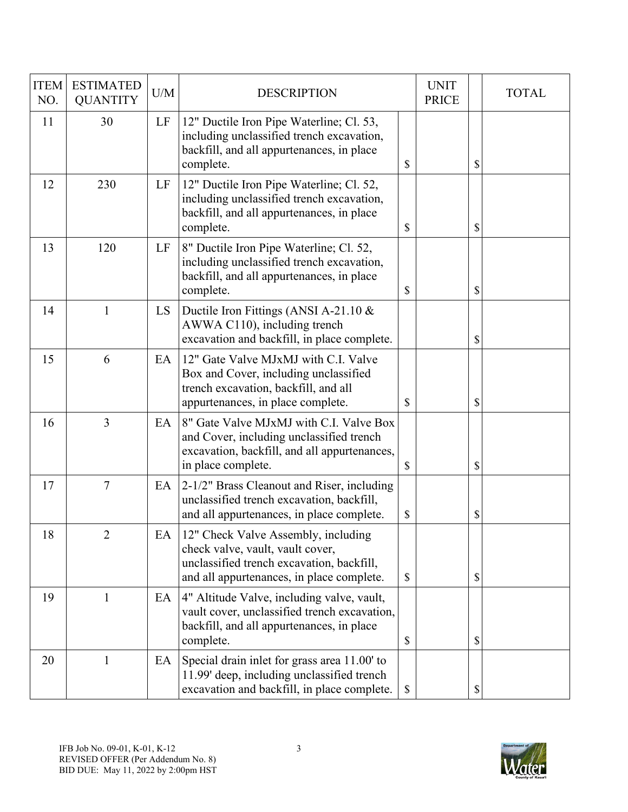| <b>ITEM</b><br>NO. | <b>ESTIMATED</b><br><b>QUANTITY</b> | U/M | <b>DESCRIPTION</b>                                                                                                                                                |               | <b>UNIT</b><br><b>PRICE</b> | <b>TOTAL</b> |
|--------------------|-------------------------------------|-----|-------------------------------------------------------------------------------------------------------------------------------------------------------------------|---------------|-----------------------------|--------------|
| 11                 | 30                                  | LF  | 12" Ductile Iron Pipe Waterline; Cl. 53,<br>including unclassified trench excavation,<br>backfill, and all appurtenances, in place<br>complete.                   | \$            |                             | \$           |
| 12                 | 230                                 | LF  | 12" Ductile Iron Pipe Waterline; Cl. 52,<br>including unclassified trench excavation,<br>backfill, and all appurtenances, in place<br>complete.                   | \$            |                             | \$           |
| 13                 | 120                                 | LF  | 8" Ductile Iron Pipe Waterline; Cl. 52,<br>including unclassified trench excavation,<br>backfill, and all appurtenances, in place<br>complete.                    | \$            |                             | \$           |
| 14                 | 1                                   | LS  | Ductile Iron Fittings (ANSI A-21.10 $\&$<br>AWWA C110), including trench<br>excavation and backfill, in place complete.                                           |               |                             | \$           |
| 15                 | 6                                   | EA  | 12" Gate Valve MJxMJ with C.I. Valve<br>Box and Cover, including unclassified<br>trench excavation, backfill, and all<br>appurtenances, in place complete.        | \$            |                             | \$           |
| 16                 | $\overline{3}$                      | EA  | 8" Gate Valve MJxMJ with C.I. Valve Box<br>and Cover, including unclassified trench<br>excavation, backfill, and all appurtenances,<br>in place complete.         | $\mathcal{S}$ |                             | \$           |
| 17                 | $\tau$                              | EA  | 2-1/2" Brass Cleanout and Riser, including<br>unclassified trench excavation, backfill,<br>and all appurtenances, in place complete.                              | \$            |                             | \$           |
| 18                 | $\overline{2}$                      | EA  | 12" Check Valve Assembly, including<br>check valve, vault, vault cover,<br>unclassified trench excavation, backfill,<br>and all appurtenances, in place complete. | \$            |                             | \$           |
| 19                 | 1                                   | EA  | 4" Altitude Valve, including valve, vault,<br>vault cover, unclassified trench excavation,<br>backfill, and all appurtenances, in place<br>complete.              | \$            |                             | \$           |
| 20                 | 1                                   | EA  | Special drain inlet for grass area 11.00' to<br>11.99' deep, including unclassified trench<br>excavation and backfill, in place complete.                         | \$            |                             | \$           |

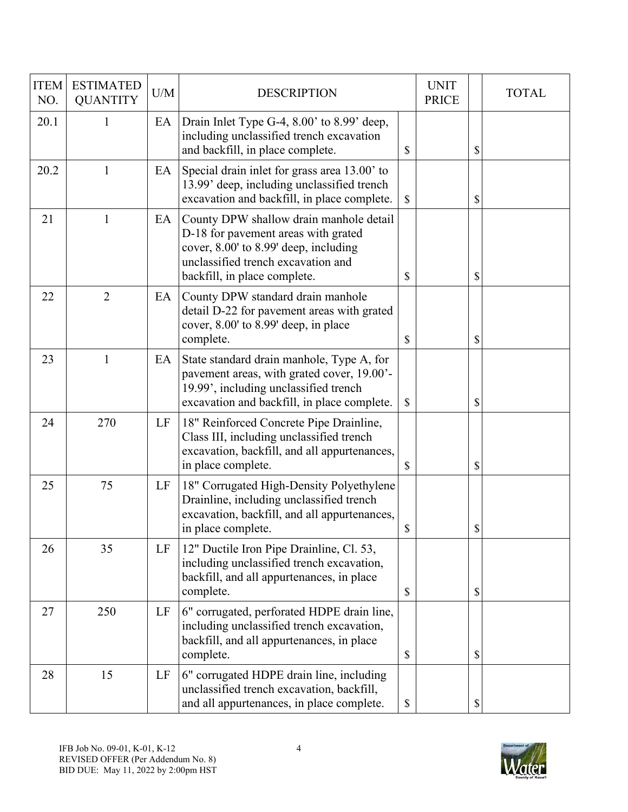| <b>ITEM</b><br>NO. | <b>ESTIMATED</b><br><b>QUANTITY</b> | U/M | <b>DESCRIPTION</b>                                                                                                                                                                            | <b>UNIT</b><br><b>PRICE</b> | <b>TOTAL</b> |
|--------------------|-------------------------------------|-----|-----------------------------------------------------------------------------------------------------------------------------------------------------------------------------------------------|-----------------------------|--------------|
| 20.1               | 1                                   | EA  | Drain Inlet Type G-4, 8.00' to 8.99' deep,<br>including unclassified trench excavation<br>and backfill, in place complete.                                                                    | \$                          | \$           |
| 20.2               | 1                                   | EA  | Special drain inlet for grass area 13.00' to<br>13.99' deep, including unclassified trench<br>excavation and backfill, in place complete.                                                     | \$                          | \$           |
| 21                 | 1                                   | EA  | County DPW shallow drain manhole detail<br>D-18 for pavement areas with grated<br>cover, 8.00' to 8.99' deep, including<br>unclassified trench excavation and<br>backfill, in place complete. | \$                          | \$           |
| 22                 | $\overline{2}$                      | EA  | County DPW standard drain manhole<br>detail D-22 for pavement areas with grated<br>cover, 8.00' to 8.99' deep, in place<br>complete.                                                          | \$                          | \$           |
| 23                 | 1                                   | EA  | State standard drain manhole, Type A, for<br>pavement areas, with grated cover, 19.00'-<br>19.99', including unclassified trench<br>excavation and backfill, in place complete.               | \$                          | \$           |
| 24                 | 270                                 | LF  | 18" Reinforced Concrete Pipe Drainline,<br>Class III, including unclassified trench<br>excavation, backfill, and all appurtenances,<br>in place complete.                                     | \$                          | \$           |
| 25                 | 75                                  | LF  | 18" Corrugated High-Density Polyethylene<br>Drainline, including unclassified trench<br>excavation, backfill, and all appurtenances,<br>in place complete.                                    | \$                          | \$           |
| 26                 | 35                                  | LF  | 12" Ductile Iron Pipe Drainline, Cl. 53,<br>including unclassified trench excavation,<br>backfill, and all appurtenances, in place<br>complete.                                               | \$                          | \$           |
| 27                 | 250                                 | LF  | 6" corrugated, perforated HDPE drain line,<br>including unclassified trench excavation,<br>backfill, and all appurtenances, in place<br>complete.                                             | \$                          | \$           |
| 28                 | 15                                  | LF  | 6" corrugated HDPE drain line, including<br>unclassified trench excavation, backfill,<br>and all appurtenances, in place complete.                                                            | \$                          | \$           |

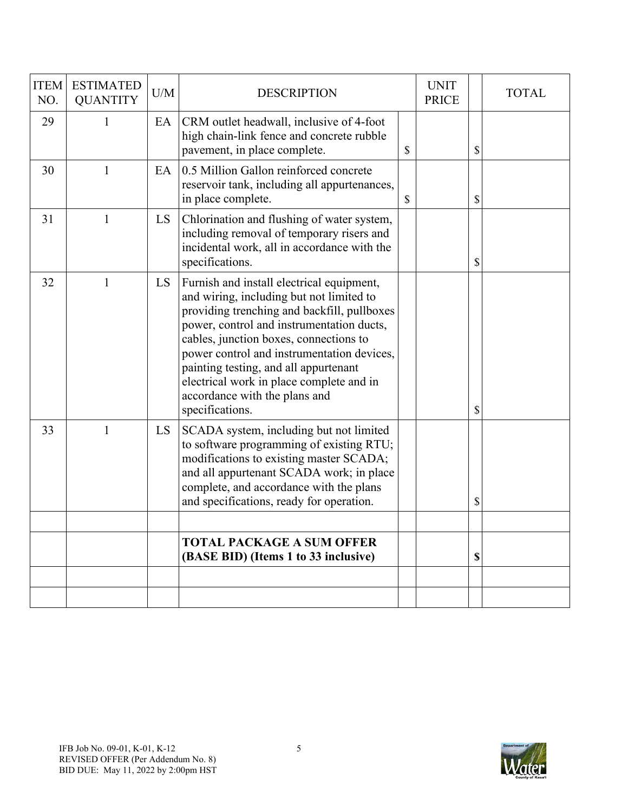| <b>ITEM</b><br>NO. | <b>ESTIMATED</b><br><b>QUANTITY</b> | U/M | <b>DESCRIPTION</b>                                                                                                                                                                                                                                                                                                                                                                                                 | <b>UNIT</b><br><b>PRICE</b> | <b>TOTAL</b> |
|--------------------|-------------------------------------|-----|--------------------------------------------------------------------------------------------------------------------------------------------------------------------------------------------------------------------------------------------------------------------------------------------------------------------------------------------------------------------------------------------------------------------|-----------------------------|--------------|
| 29                 | $\mathbf{1}$                        | EA  | CRM outlet headwall, inclusive of 4-foot<br>high chain-link fence and concrete rubble<br>pavement, in place complete.                                                                                                                                                                                                                                                                                              | \$                          | \$           |
| 30                 | $\mathbf{1}$                        | EA  | 0.5 Million Gallon reinforced concrete<br>reservoir tank, including all appurtenances,<br>in place complete.                                                                                                                                                                                                                                                                                                       | \$                          | \$           |
| 31                 | $\mathbf{1}$                        | LS  | Chlorination and flushing of water system,<br>including removal of temporary risers and<br>incidental work, all in accordance with the<br>specifications.                                                                                                                                                                                                                                                          |                             | \$           |
| 32                 | $\mathbf{1}$                        | LS  | Furnish and install electrical equipment,<br>and wiring, including but not limited to<br>providing trenching and backfill, pullboxes<br>power, control and instrumentation ducts,<br>cables, junction boxes, connections to<br>power control and instrumentation devices,<br>painting testing, and all appurtenant<br>electrical work in place complete and in<br>accordance with the plans and<br>specifications. |                             | \$           |
| 33                 | $\mathbf{1}$                        | LS  | SCADA system, including but not limited<br>to software programming of existing RTU;<br>modifications to existing master SCADA;<br>and all appurtenant SCADA work; in place<br>complete, and accordance with the plans<br>and specifications, ready for operation.                                                                                                                                                  |                             | \$           |
|                    |                                     |     |                                                                                                                                                                                                                                                                                                                                                                                                                    |                             |              |
|                    |                                     |     | <b>TOTAL PACKAGE A SUM OFFER</b><br>(BASE BID) (Items 1 to 33 inclusive)                                                                                                                                                                                                                                                                                                                                           |                             | \$           |
|                    |                                     |     |                                                                                                                                                                                                                                                                                                                                                                                                                    |                             |              |
|                    |                                     |     |                                                                                                                                                                                                                                                                                                                                                                                                                    |                             |              |

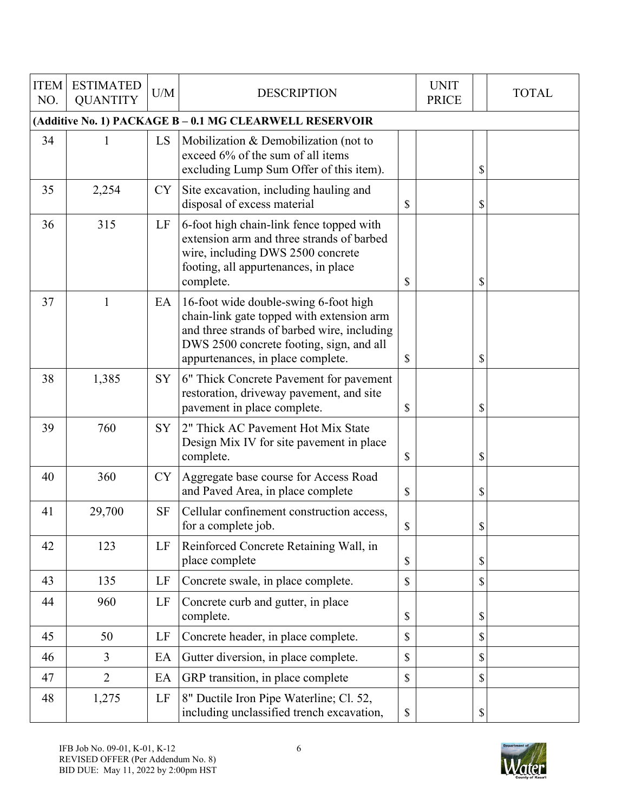| <b>ITEM</b><br>NO. | <b>ESTIMATED</b><br><b>QUANTITY</b>                     | U/M       | <b>DESCRIPTION</b>                                                                                                                                                                                                 |              | <b>UNIT</b><br><b>PRICE</b> |    | <b>TOTAL</b> |  |  |  |  |  |
|--------------------|---------------------------------------------------------|-----------|--------------------------------------------------------------------------------------------------------------------------------------------------------------------------------------------------------------------|--------------|-----------------------------|----|--------------|--|--|--|--|--|
|                    | (Additive No. 1) PACKAGE B - 0.1 MG CLEARWELL RESERVOIR |           |                                                                                                                                                                                                                    |              |                             |    |              |  |  |  |  |  |
| 34                 | 1                                                       | LS        | Mobilization & Demobilization (not to<br>exceed 6% of the sum of all items<br>excluding Lump Sum Offer of this item).                                                                                              |              |                             | \$ |              |  |  |  |  |  |
| 35                 | 2,254                                                   | <b>CY</b> | Site excavation, including hauling and<br>disposal of excess material                                                                                                                                              | \$           |                             | \$ |              |  |  |  |  |  |
| 36                 | 315                                                     | LF        | 6-foot high chain-link fence topped with<br>extension arm and three strands of barbed<br>wire, including DWS 2500 concrete<br>footing, all appurtenances, in place<br>complete.                                    | \$           |                             | \$ |              |  |  |  |  |  |
| 37                 | $\mathbf{1}$                                            | EA        | 16-foot wide double-swing 6-foot high<br>chain-link gate topped with extension arm<br>and three strands of barbed wire, including<br>DWS 2500 concrete footing, sign, and all<br>appurtenances, in place complete. | \$           |                             | \$ |              |  |  |  |  |  |
| 38                 | 1,385                                                   | SY        | 6" Thick Concrete Pavement for pavement<br>restoration, driveway pavement, and site<br>pavement in place complete.                                                                                                 | \$           |                             | \$ |              |  |  |  |  |  |
| 39                 | 760                                                     | <b>SY</b> | 2" Thick AC Pavement Hot Mix State<br>Design Mix IV for site pavement in place<br>complete.                                                                                                                        | \$           |                             | \$ |              |  |  |  |  |  |
| 40                 | 360                                                     | <b>CY</b> | Aggregate base course for Access Road<br>and Paved Area, in place complete                                                                                                                                         | \$           |                             | \$ |              |  |  |  |  |  |
| 41                 | 29,700                                                  | <b>SF</b> | Cellular confinement construction access,<br>for a complete job.                                                                                                                                                   | \$           |                             | \$ |              |  |  |  |  |  |
| 42                 | 123                                                     | LF        | Reinforced Concrete Retaining Wall, in<br>place complete                                                                                                                                                           | \$           |                             | \$ |              |  |  |  |  |  |
| 43                 | 135                                                     | LF        | Concrete swale, in place complete.                                                                                                                                                                                 | \$           |                             | \$ |              |  |  |  |  |  |
| 44                 | 960                                                     | LF        | Concrete curb and gutter, in place<br>complete.                                                                                                                                                                    | \$           |                             | \$ |              |  |  |  |  |  |
| 45                 | 50                                                      | LF        | Concrete header, in place complete.                                                                                                                                                                                | \$           |                             | \$ |              |  |  |  |  |  |
| 46                 | $\overline{3}$                                          | EA        | Gutter diversion, in place complete.                                                                                                                                                                               | $\mathbb{S}$ |                             | \$ |              |  |  |  |  |  |
| 47                 | $\overline{2}$                                          | EA        | GRP transition, in place complete                                                                                                                                                                                  | \$           |                             | \$ |              |  |  |  |  |  |
| 48                 | 1,275                                                   | LF        | 8" Ductile Iron Pipe Waterline; Cl. 52,<br>including unclassified trench excavation,                                                                                                                               | \$           |                             | \$ |              |  |  |  |  |  |

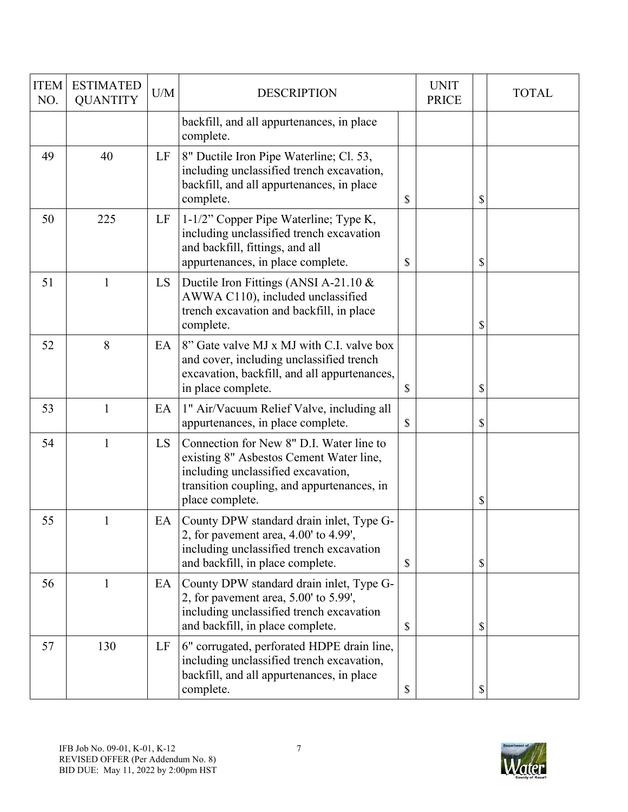| <b>ITEM</b><br>NO. | <b>ESTIMATED</b><br><b>QUANTITY</b> | U/M | <b>DESCRIPTION</b>                                                                                                                                                                         | <b>UNIT</b><br><b>PRICE</b> | <b>TOTAL</b> |
|--------------------|-------------------------------------|-----|--------------------------------------------------------------------------------------------------------------------------------------------------------------------------------------------|-----------------------------|--------------|
|                    |                                     |     | backfill, and all appurtenances, in place<br>complete.                                                                                                                                     |                             |              |
| 49                 | 40                                  | LF  | 8" Ductile Iron Pipe Waterline; Cl. 53,<br>including unclassified trench excavation,<br>backfill, and all appurtenances, in place<br>complete.                                             | \$                          | \$           |
| 50                 | 225                                 | LF  | 1-1/2" Copper Pipe Waterline; Type K,<br>including unclassified trench excavation<br>and backfill, fittings, and all<br>appurtenances, in place complete.                                  | \$                          | \$           |
| 51                 | $\mathbf{1}$                        | LS. | Ductile Iron Fittings (ANSI A-21.10 $\&$<br>AWWA C110), included unclassified<br>trench excavation and backfill, in place<br>complete.                                                     |                             | \$           |
| 52                 | 8                                   | EA  | 8" Gate valve MJ x MJ with C.I. valve box<br>and cover, including unclassified trench<br>excavation, backfill, and all appurtenances,<br>in place complete.                                | \$                          | \$           |
| 53                 | 1                                   | EA  | 1" Air/Vacuum Relief Valve, including all<br>appurtenances, in place complete.                                                                                                             | \$                          | \$           |
| 54                 | 1                                   | LS  | Connection for New 8" D.I. Water line to<br>existing 8" Asbestos Cement Water line,<br>including unclassified excavation,<br>transition coupling, and appurtenances, in<br>place complete. |                             | \$           |
| 55                 | 1                                   | EA  | County DPW standard drain inlet, Type G-<br>2, for pavement area, $4.00'$ to $4.99'$ ,<br>including unclassified trench excavation<br>and backfill, in place complete.                     | \$                          | \$           |
| 56                 | 1                                   | EA  | County DPW standard drain inlet, Type G-<br>2, for pavement area, 5.00' to 5.99',<br>including unclassified trench excavation<br>and backfill, in place complete.                          | \$                          | \$           |
| 57                 | 130                                 | LF  | 6" corrugated, perforated HDPE drain line,<br>including unclassified trench excavation,<br>backfill, and all appurtenances, in place<br>complete.                                          | \$                          | \$           |

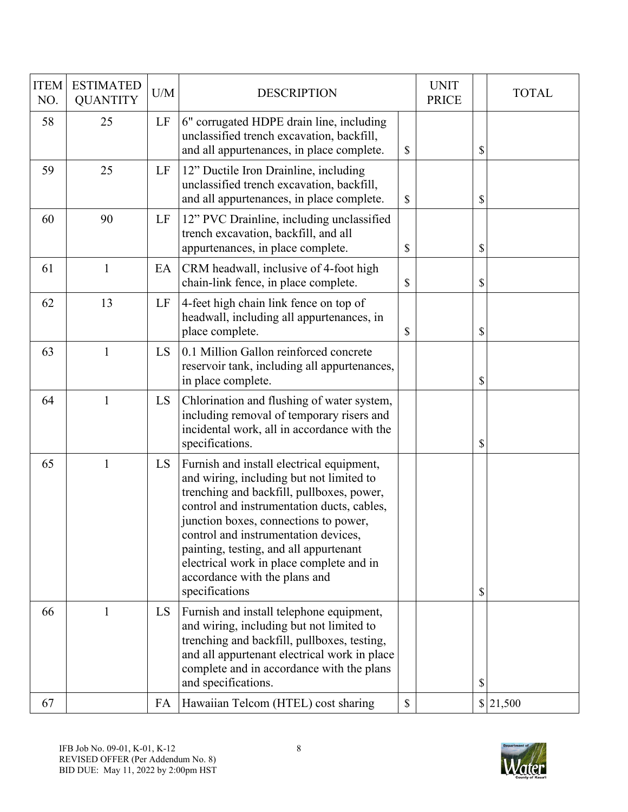| <b>ITEM</b><br>NO. | <b>ESTIMATED</b><br><b>QUANTITY</b> | U/M | <b>DESCRIPTION</b>                                                                                                                                                                                                                                                                                                                                                                                         | <b>UNIT</b><br><b>PRICE</b> | <b>TOTAL</b> |
|--------------------|-------------------------------------|-----|------------------------------------------------------------------------------------------------------------------------------------------------------------------------------------------------------------------------------------------------------------------------------------------------------------------------------------------------------------------------------------------------------------|-----------------------------|--------------|
| 58                 | 25                                  | LF  | 6" corrugated HDPE drain line, including<br>unclassified trench excavation, backfill,<br>and all appurtenances, in place complete.                                                                                                                                                                                                                                                                         | \$                          | \$           |
| 59                 | 25                                  | LF  | 12" Ductile Iron Drainline, including<br>unclassified trench excavation, backfill,<br>and all appurtenances, in place complete.                                                                                                                                                                                                                                                                            | \$                          | \$           |
| 60                 | 90                                  | LF  | 12" PVC Drainline, including unclassified<br>trench excavation, backfill, and all<br>appurtenances, in place complete.                                                                                                                                                                                                                                                                                     | \$                          | \$           |
| 61                 | $\mathbf{1}$                        | EA  | CRM headwall, inclusive of 4-foot high<br>chain-link fence, in place complete.                                                                                                                                                                                                                                                                                                                             | \$                          | \$           |
| 62                 | 13                                  | LF  | 4-feet high chain link fence on top of<br>headwall, including all appurtenances, in<br>place complete.                                                                                                                                                                                                                                                                                                     | \$                          | \$           |
| 63                 | $\mathbf{1}$                        | LS  | 0.1 Million Gallon reinforced concrete<br>reservoir tank, including all appurtenances,<br>in place complete.                                                                                                                                                                                                                                                                                               |                             | \$           |
| 64                 | $\mathbf{1}$                        | LS  | Chlorination and flushing of water system,<br>including removal of temporary risers and<br>incidental work, all in accordance with the<br>specifications.                                                                                                                                                                                                                                                  |                             | \$           |
| 65                 | 1                                   | LS  | Furnish and install electrical equipment,<br>and wiring, including but not limited to<br>trenching and backfill, pullboxes, power,<br>control and instrumentation ducts, cables,<br>junction boxes, connections to power,<br>control and instrumentation devices,<br>painting, testing, and all appurtenant<br>electrical work in place complete and in<br>accordance with the plans and<br>specifications |                             | \$           |
| 66                 | 1                                   | LS  | Furnish and install telephone equipment,<br>and wiring, including but not limited to<br>trenching and backfill, pullboxes, testing,<br>and all appurtenant electrical work in place<br>complete and in accordance with the plans<br>and specifications.                                                                                                                                                    |                             | \$           |
| 67                 |                                     | FA  | Hawaiian Telcom (HTEL) cost sharing                                                                                                                                                                                                                                                                                                                                                                        | \$                          | 21,500       |

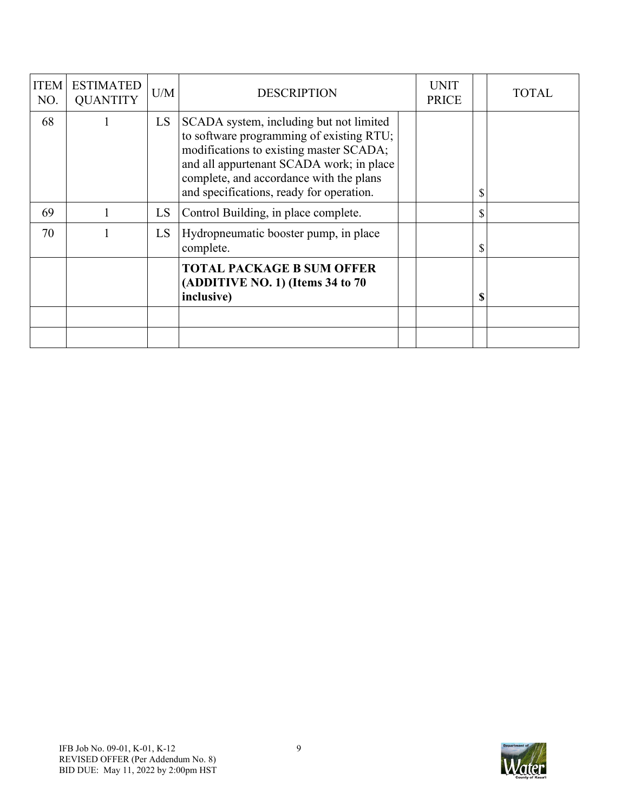| <b>ITEM</b><br>NO. | <b>ESTIMATED</b><br><b>QUANTITY</b> | U/M | <b>DESCRIPTION</b>                                                                                                                                                                                                                                                | <b>UNIT</b><br><b>PRICE</b> |              | TOTAL |
|--------------------|-------------------------------------|-----|-------------------------------------------------------------------------------------------------------------------------------------------------------------------------------------------------------------------------------------------------------------------|-----------------------------|--------------|-------|
| 68                 |                                     | LS. | SCADA system, including but not limited<br>to software programming of existing RTU;<br>modifications to existing master SCADA;<br>and all appurtenant SCADA work; in place<br>complete, and accordance with the plans<br>and specifications, ready for operation. |                             | \$           |       |
| 69                 |                                     | LS  | Control Building, in place complete.                                                                                                                                                                                                                              |                             | $\mathbb{S}$ |       |
| 70                 |                                     | LS  | Hydropneumatic booster pump, in place<br>complete.                                                                                                                                                                                                                |                             | \$           |       |
|                    |                                     |     | <b>TOTAL PACKAGE B SUM OFFER</b><br>(ADDITIVE NO. 1) (Items $34$ to $70$<br>inclusive)                                                                                                                                                                            |                             | \$           |       |
|                    |                                     |     |                                                                                                                                                                                                                                                                   |                             |              |       |
|                    |                                     |     |                                                                                                                                                                                                                                                                   |                             |              |       |

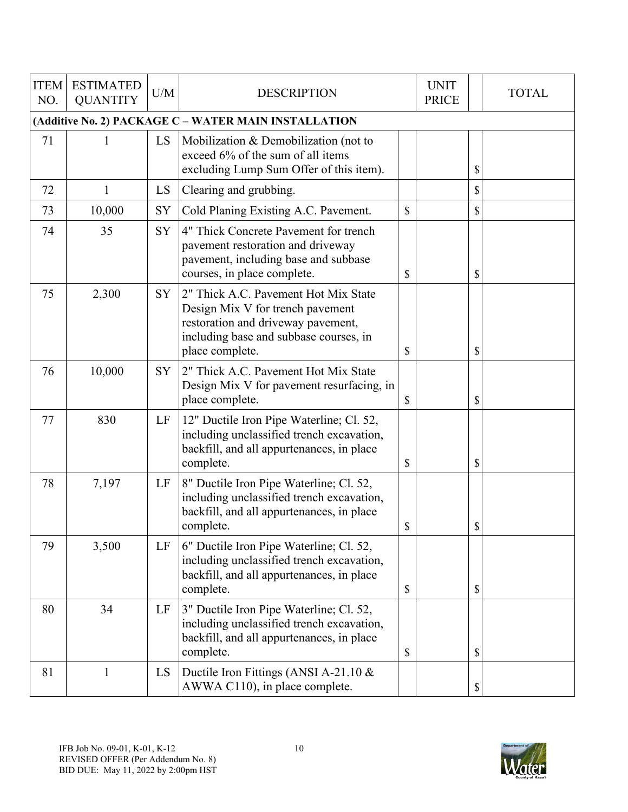| <b>ITEM</b><br>NO. | <b>ESTIMATED</b><br><b>QUANTITY</b> | U/M       | <b>DESCRIPTION</b>                                                                                                                                                          | <b>UNIT</b><br><b>PRICE</b> | <b>TOTAL</b> |
|--------------------|-------------------------------------|-----------|-----------------------------------------------------------------------------------------------------------------------------------------------------------------------------|-----------------------------|--------------|
|                    |                                     |           | (Additive No. 2) PACKAGE C - WATER MAIN INSTALLATION                                                                                                                        |                             |              |
| 71                 | 1                                   | LS        | Mobilization & Demobilization (not to<br>exceed 6% of the sum of all items<br>excluding Lump Sum Offer of this item).                                                       |                             | \$           |
| 72                 | $\mathbf{1}$                        | LS        | Clearing and grubbing.                                                                                                                                                      |                             | \$           |
| 73                 | 10,000                              | SY        | Cold Planing Existing A.C. Pavement.                                                                                                                                        | \$                          | \$           |
| 74                 | 35                                  | SY        | 4" Thick Concrete Pavement for trench<br>pavement restoration and driveway<br>pavement, including base and subbase<br>courses, in place complete.                           | \$                          | \$           |
| 75                 | 2,300                               | <b>SY</b> | 2" Thick A.C. Pavement Hot Mix State<br>Design Mix V for trench pavement<br>restoration and driveway pavement,<br>including base and subbase courses, in<br>place complete. | \$                          | \$           |
| 76                 | 10,000                              | <b>SY</b> | 2" Thick A.C. Pavement Hot Mix State<br>Design Mix V for pavement resurfacing, in<br>place complete.                                                                        | \$                          | \$           |
| 77                 | 830                                 | LF        | 12" Ductile Iron Pipe Waterline; Cl. 52,<br>including unclassified trench excavation,<br>backfill, and all appurtenances, in place<br>complete.                             | \$                          | \$           |
| 78                 | 7,197                               | LF        | 8" Ductile Iron Pipe Waterline; Cl. 52,<br>including unclassified trench excavation,<br>backfill, and all appurtenances, in place<br>complete.                              | \$                          | \$           |
| 79                 | 3,500                               | LF        | 6" Ductile Iron Pipe Waterline; Cl. 52,<br>including unclassified trench excavation,<br>backfill, and all appurtenances, in place<br>complete.                              | \$                          | \$           |
| 80                 | 34                                  | LF        | 3" Ductile Iron Pipe Waterline; Cl. 52,<br>including unclassified trench excavation,<br>backfill, and all appurtenances, in place<br>complete.                              | \$                          | \$           |
| 81                 | 1                                   | LS        | Ductile Iron Fittings (ANSI A-21.10 &<br>AWWA C110), in place complete.                                                                                                     |                             | \$           |

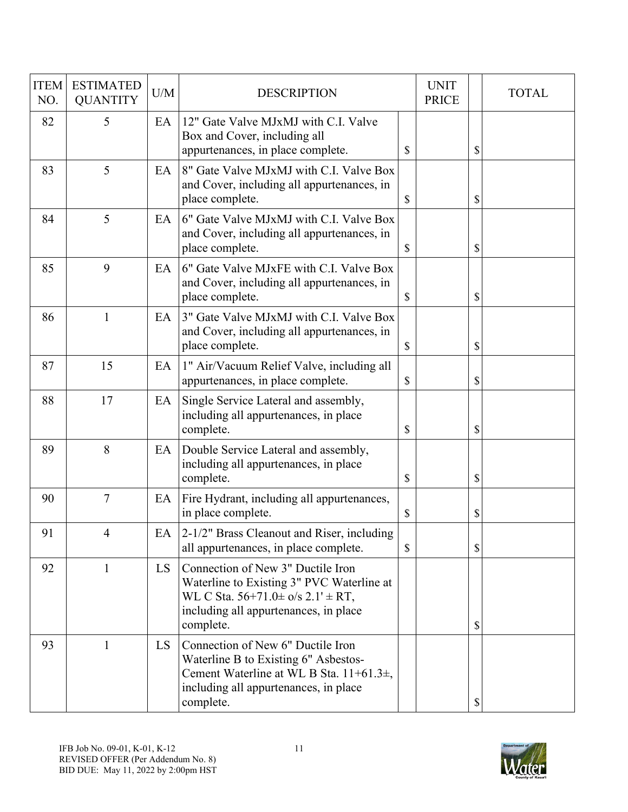| <b>ITEM</b><br>NO. | <b>ESTIMATED</b><br><b>QUANTITY</b> | U/M | <b>DESCRIPTION</b>                                                                                                                                                                         |               | <b>UNIT</b><br><b>PRICE</b> | <b>TOTAL</b> |
|--------------------|-------------------------------------|-----|--------------------------------------------------------------------------------------------------------------------------------------------------------------------------------------------|---------------|-----------------------------|--------------|
| 82                 | 5                                   | EA  | 12" Gate Valve MJxMJ with C.I. Valve<br>Box and Cover, including all<br>appurtenances, in place complete.                                                                                  | \$            |                             | \$           |
| 83                 | 5                                   | EA  | 8" Gate Valve MJxMJ with C.I. Valve Box<br>and Cover, including all appurtenances, in<br>place complete.                                                                                   | $\mathcal{S}$ |                             | \$           |
| 84                 | 5                                   | EA  | 6" Gate Valve MJxMJ with C.I. Valve Box<br>and Cover, including all appurtenances, in<br>place complete.                                                                                   | $\mathcal{S}$ |                             | \$           |
| 85                 | 9                                   | EA  | 6" Gate Valve MJxFE with C.I. Valve Box<br>and Cover, including all appurtenances, in<br>place complete.                                                                                   | \$            |                             | \$           |
| 86                 | 1                                   | EA  | 3" Gate Valve MJxMJ with C.I. Valve Box<br>and Cover, including all appurtenances, in<br>place complete.                                                                                   | \$            |                             | \$           |
| 87                 | 15                                  | EA  | 1" Air/Vacuum Relief Valve, including all<br>appurtenances, in place complete.                                                                                                             | \$            |                             | \$           |
| 88                 | 17                                  | EA  | Single Service Lateral and assembly,<br>including all appurtenances, in place<br>complete.                                                                                                 | \$            |                             | \$           |
| 89                 | 8                                   | EA  | Double Service Lateral and assembly,<br>including all appurtenances, in place<br>complete.                                                                                                 | \$            |                             | \$           |
| 90                 | $\tau$                              | EA  | Fire Hydrant, including all appurtenances,<br>in place complete.                                                                                                                           | \$            |                             | \$           |
| 91                 | 4                                   | EA  | 2-1/2" Brass Cleanout and Riser, including<br>all appurtenances, in place complete.                                                                                                        | $\mathbb{S}$  |                             | \$           |
| 92                 | 1                                   | LS  | Connection of New 3" Ductile Iron<br>Waterline to Existing 3" PVC Waterline at<br>WL C Sta. $56+71.0 \pm \frac{6}{5}$ 2.1' $\pm$ RT,<br>including all appurtenances, in place<br>complete. |               |                             | \$           |
| 93                 | $\mathbf{1}$                        | LS. | Connection of New 6" Ductile Iron<br>Waterline B to Existing 6" Asbestos-<br>Cement Waterline at WL B Sta. 11+61.3±,<br>including all appurtenances, in place<br>complete.                 |               |                             | \$           |

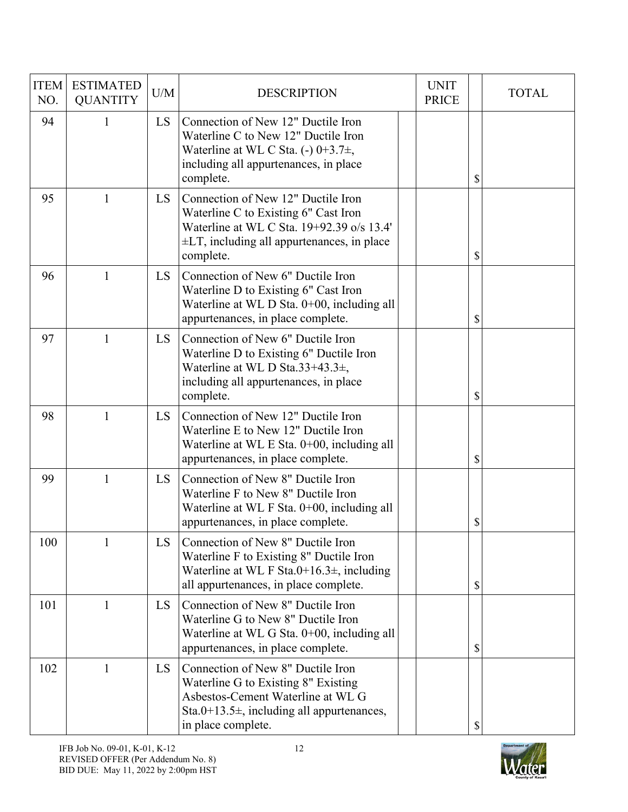| <b>ITEM</b><br>NO. | <b>ESTIMATED</b><br><b>QUANTITY</b> | U/M       | <b>DESCRIPTION</b>                                                                                                                                                                      | <b>UNIT</b><br><b>PRICE</b> | <b>TOTAL</b> |
|--------------------|-------------------------------------|-----------|-----------------------------------------------------------------------------------------------------------------------------------------------------------------------------------------|-----------------------------|--------------|
| 94                 | $\mathbf{1}$                        | <b>LS</b> | Connection of New 12" Ductile Iron<br>Waterline C to New 12" Ductile Iron<br>Waterline at WL C Sta. (-) $0+3.7\pm$ ,<br>including all appurtenances, in place<br>complete.              |                             | \$           |
| 95                 | 1                                   | <b>LS</b> | Connection of New 12" Ductile Iron<br>Waterline C to Existing 6" Cast Iron<br>Waterline at WL C Sta. 19+92.39 o/s 13.4'<br>$\pm$ LT, including all appurtenances, in place<br>complete. |                             | \$           |
| 96                 | $\mathbf{1}$                        | <b>LS</b> | Connection of New 6" Ductile Iron<br>Waterline D to Existing 6" Cast Iron<br>Waterline at WL D Sta. 0+00, including all<br>appurtenances, in place complete.                            |                             | \$           |
| 97                 | $\mathbf{1}$                        | <b>LS</b> | Connection of New 6" Ductile Iron<br>Waterline D to Existing 6" Ductile Iron<br>Waterline at WL D Sta.33+43.3 $\pm$ ,<br>including all appurtenances, in place<br>complete.             |                             | \$           |
| 98                 | $\mathbf{1}$                        | <b>LS</b> | Connection of New 12" Ductile Iron<br>Waterline E to New 12" Ductile Iron<br>Waterline at WL E Sta. $0+00$ , including all<br>appurtenances, in place complete.                         |                             | \$           |
| 99                 | $\mathbf{1}$                        | LS        | Connection of New 8" Ductile Iron<br>Waterline F to New 8" Ductile Iron<br>Waterline at WL F Sta. 0+00, including all<br>appurtenances, in place complete.                              |                             | \$           |
| 100                | 1                                   | LS        | Connection of New 8" Ductile Iron<br>Waterline F to Existing 8" Ductile Iron<br>Waterline at WL F Sta.0+16.3 $\pm$ , including<br>all appurtenances, in place complete.                 |                             | \$           |
| 101                | 1                                   | LS        | Connection of New 8" Ductile Iron<br>Waterline G to New 8" Ductile Iron<br>Waterline at WL G Sta. 0+00, including all<br>appurtenances, in place complete.                              |                             | \$           |
| 102                | $\mathbf{1}$                        | LS        | Connection of New 8" Ductile Iron<br>Waterline G to Existing 8" Existing<br>Asbestos-Cement Waterline at WL G<br>Sta.0+13.5 $\pm$ , including all appurtenances,<br>in place complete.  |                             | \$           |

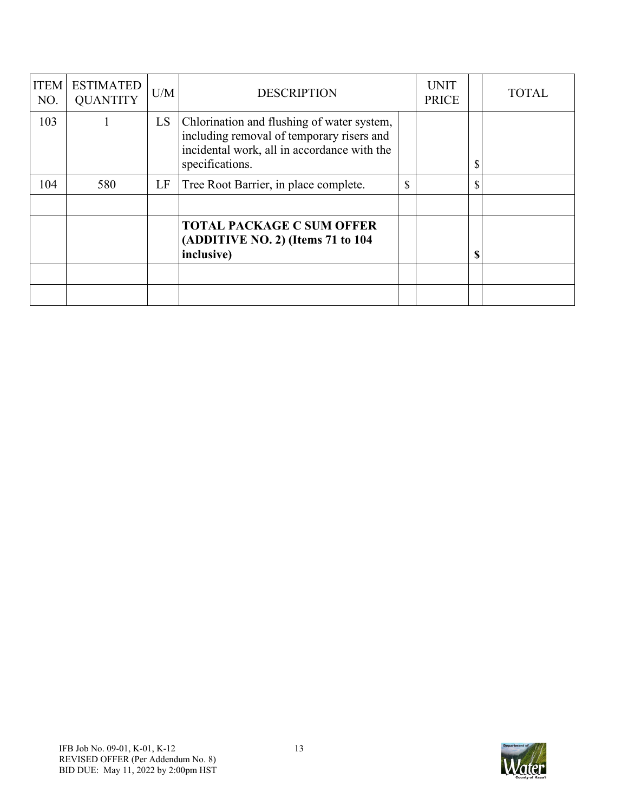| <b>ITEM</b><br>NO. | <b>ESTIMATED</b><br><b>QUANTITY</b> | U/M | <b>DESCRIPTION</b>                                                                                                                                        |              | <b>UNIT</b><br><b>PRICE</b> | <b>TOTAL</b> |
|--------------------|-------------------------------------|-----|-----------------------------------------------------------------------------------------------------------------------------------------------------------|--------------|-----------------------------|--------------|
| 103                |                                     | LS. | Chlorination and flushing of water system,<br>including removal of temporary risers and<br>incidental work, all in accordance with the<br>specifications. |              |                             | \$           |
| 104                | 580                                 | LF  | Tree Root Barrier, in place complete.                                                                                                                     | $\mathbb{S}$ |                             | \$           |
|                    |                                     |     |                                                                                                                                                           |              |                             |              |
|                    |                                     |     | <b>TOTAL PACKAGE C SUM OFFER</b><br>(ADDITIVE NO. 2) (Items 71 to 104<br>inclusive)                                                                       |              |                             | \$           |
|                    |                                     |     |                                                                                                                                                           |              |                             |              |
|                    |                                     |     |                                                                                                                                                           |              |                             |              |

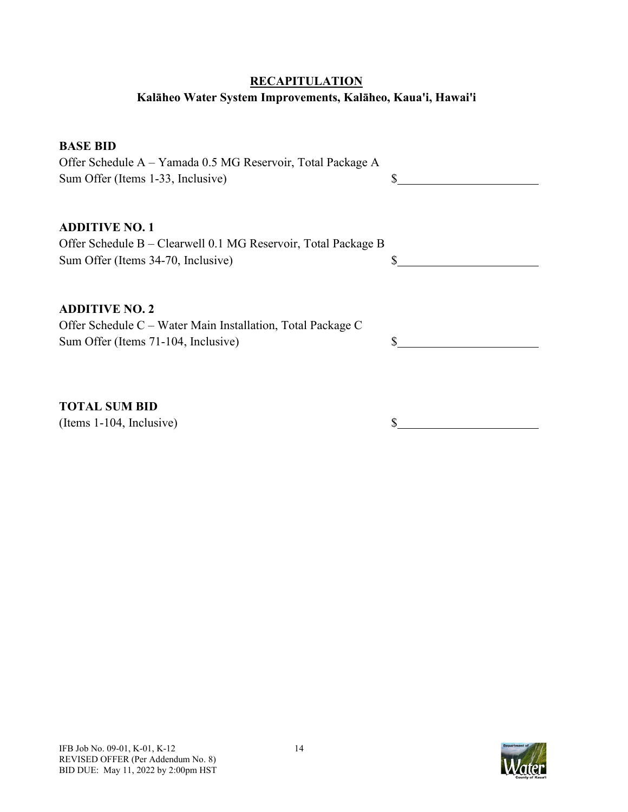## **RECAPITULATION**

## **Kalāheo Water System Improvements, Kalāheo, Kaua'i, Hawai'i**

## **BASE BID**

Offer Schedule A – Yamada 0.5 MG Reservoir, Total Package A Sum Offer (Items 1-33, Inclusive) \$

## **ADDITIVE NO. 1**

| Offer Schedule B – Clearwell 0.1 MG Reservoir, Total Package B |  |
|----------------------------------------------------------------|--|
| Sum Offer (Items 34-70, Inclusive)                             |  |

## **ADDITIVE NO. 2**

Offer Schedule C – Water Main Installation, Total Package C Sum Offer (Items 71-104, Inclusive)  $\qquad$  \$

**TOTAL SUM BID**

(Items 1-104, Inclusive) \$

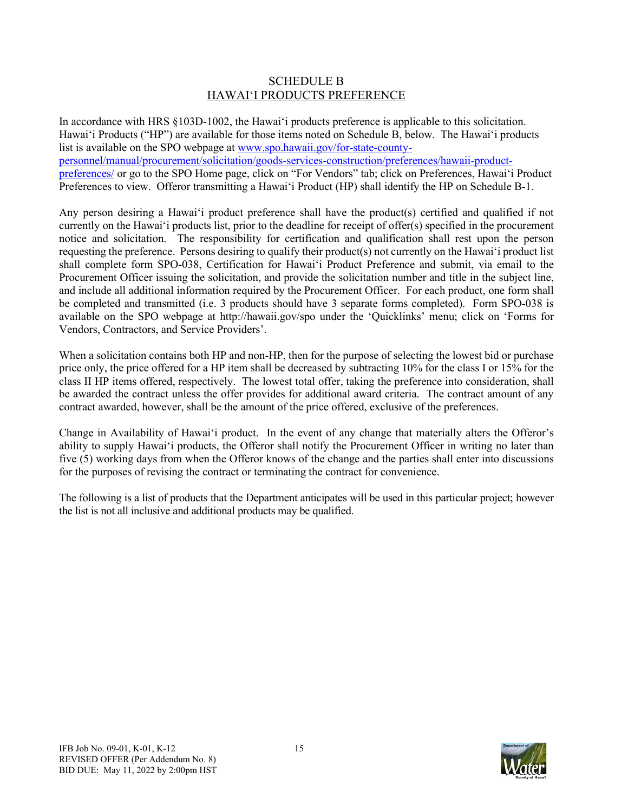## SCHEDULE B HAWAIʻI PRODUCTS PREFERENCE

In accordance with HRS §103D-1002, the Hawai'i products preference is applicable to this solicitation. Hawai'i Products ("HP") are available for those items noted on Schedule B, below. The Hawai'i products list is available on the SPO webpage a[t www.spo.hawaii.gov/for-state-county](http://www.spo.hawaii.gov/for-state-county-personnel/manual/procurement/solicitation/goods-services-construction/preferences/hawaii-product-preferences/)[personnel/manual/procurement/solicitation/goods-services-construction/preferences/hawaii-product](http://www.spo.hawaii.gov/for-state-county-personnel/manual/procurement/solicitation/goods-services-construction/preferences/hawaii-product-preferences/)[preferences/](http://www.spo.hawaii.gov/for-state-county-personnel/manual/procurement/solicitation/goods-services-construction/preferences/hawaii-product-preferences/) or go to the SPO Home page, click on "For Vendors" tab; click on Preferences, Hawai'i Product Preferences to view. Offeror transmitting a Hawai'i Product (HP) shall identify the HP on Schedule B-1.

Any person desiring a Hawai'i product preference shall have the product(s) certified and qualified if not currently on the Hawai'i products list, prior to the deadline for receipt of offer(s) specified in the procurement notice and solicitation. The responsibility for certification and qualification shall rest upon the person requesting the preference. Persons desiring to qualify their product(s) not currently on the Hawai'i product list shall complete form SPO-038, Certification for Hawai'i Product Preference and submit, via email to the Procurement Officer issuing the solicitation, and provide the solicitation number and title in the subject line, and include all additional information required by the Procurement Officer. For each product, one form shall be completed and transmitted (i.e. 3 products should have 3 separate forms completed). Form SPO-038 is available on the SPO webpage at http://hawaii.gov/spo under the 'Quicklinks' menu; click on 'Forms for Vendors, Contractors, and Service Providers'.

When a solicitation contains both HP and non-HP, then for the purpose of selecting the lowest bid or purchase price only, the price offered for a HP item shall be decreased by subtracting 10% for the class I or 15% for the class II HP items offered, respectively. The lowest total offer, taking the preference into consideration, shall be awarded the contract unless the offer provides for additional award criteria. The contract amount of any contract awarded, however, shall be the amount of the price offered, exclusive of the preferences.

Change in Availability of Hawai'i product. In the event of any change that materially alters the Offeror's ability to supply Hawai'i products, the Offeror shall notify the Procurement Officer in writing no later than five (5) working days from when the Offeror knows of the change and the parties shall enter into discussions for the purposes of revising the contract or terminating the contract for convenience.

The following is a list of products that the Department anticipates will be used in this particular project; however the list is not all inclusive and additional products may be qualified.

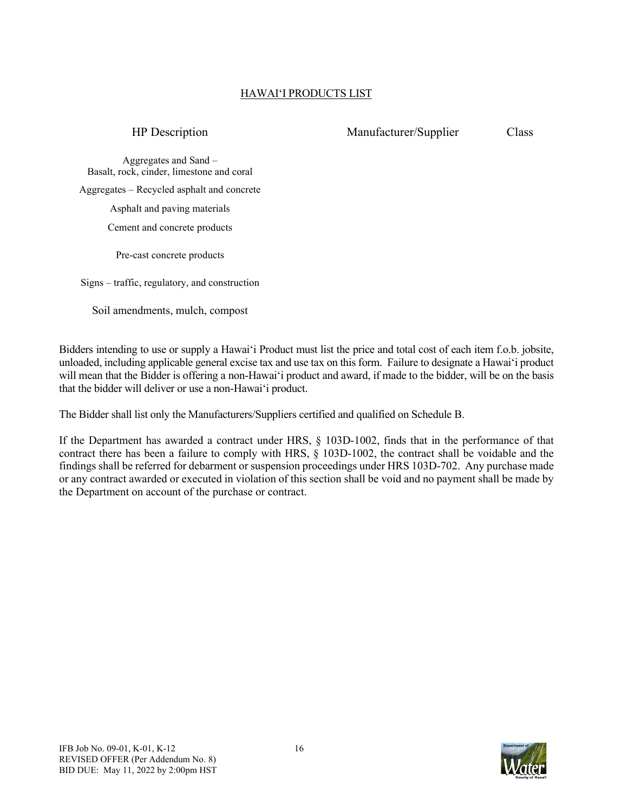## HAWAIʻI PRODUCTS LIST

## HP Description Manufacturer/Supplier Class

Aggregates and Sand – Basalt, rock, cinder, limestone and coral Aggregates – Recycled asphalt and concrete Asphalt and paving materials Cement and concrete products

Pre-cast concrete products

Signs – traffic, regulatory, and construction

Soil amendments, mulch, compost

Bidders intending to use or supply a Hawai'i Product must list the price and total cost of each item f.o.b. jobsite, unloaded, including applicable general excise tax and use tax on this form. Failure to designate a Hawai'i product will mean that the Bidder is offering a non-Hawai'i product and award, if made to the bidder, will be on the basis that the bidder will deliver or use a non-Hawai'i product.

The Bidder shall list only the Manufacturers/Suppliers certified and qualified on Schedule B.

If the Department has awarded a contract under HRS, § 103D-1002, finds that in the performance of that contract there has been a failure to comply with HRS, § 103D-1002, the contract shall be voidable and the findings shall be referred for debarment or suspension proceedings under HRS 103D-702. Any purchase made or any contract awarded or executed in violation of this section shall be void and no payment shall be made by the Department on account of the purchase or contract.

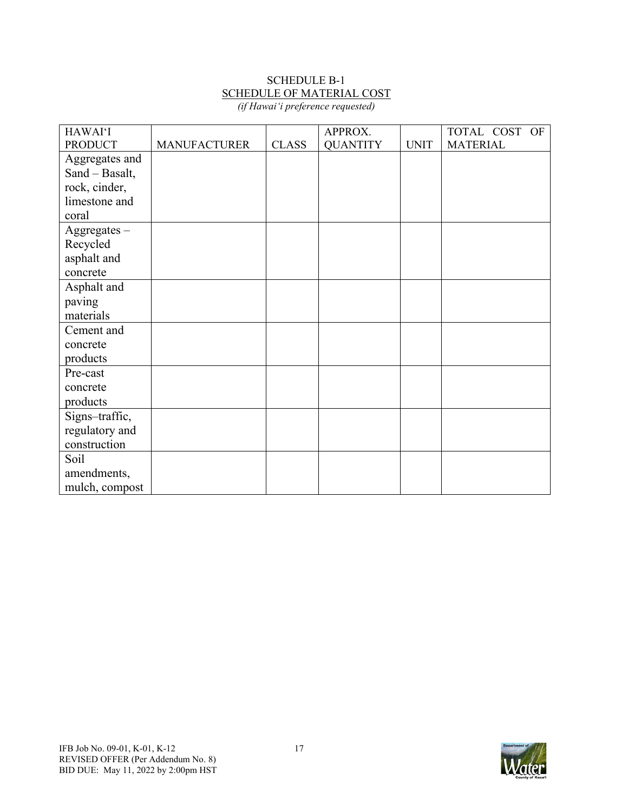# SCHEDULE B-1 SCHEDULE OF MATERIAL COST

| (if Hawai'i preference requested) |  |
|-----------------------------------|--|
|-----------------------------------|--|

| <b>HAWAI'I</b> |                     |              | APPROX.         |             | TOTAL COST OF   |
|----------------|---------------------|--------------|-----------------|-------------|-----------------|
| <b>PRODUCT</b> | <b>MANUFACTURER</b> | <b>CLASS</b> | <b>QUANTITY</b> | <b>UNIT</b> | <b>MATERIAL</b> |
| Aggregates and |                     |              |                 |             |                 |
| Sand - Basalt, |                     |              |                 |             |                 |
| rock, cinder,  |                     |              |                 |             |                 |
| limestone and  |                     |              |                 |             |                 |
| coral          |                     |              |                 |             |                 |
| $Aggregates -$ |                     |              |                 |             |                 |
| Recycled       |                     |              |                 |             |                 |
| asphalt and    |                     |              |                 |             |                 |
| concrete       |                     |              |                 |             |                 |
| Asphalt and    |                     |              |                 |             |                 |
| paving         |                     |              |                 |             |                 |
| materials      |                     |              |                 |             |                 |
| Cement and     |                     |              |                 |             |                 |
| concrete       |                     |              |                 |             |                 |
| products       |                     |              |                 |             |                 |
| Pre-cast       |                     |              |                 |             |                 |
| concrete       |                     |              |                 |             |                 |
| products       |                     |              |                 |             |                 |
| Signs-traffic, |                     |              |                 |             |                 |
| regulatory and |                     |              |                 |             |                 |
| construction   |                     |              |                 |             |                 |
| Soil           |                     |              |                 |             |                 |
| amendments,    |                     |              |                 |             |                 |
| mulch, compost |                     |              |                 |             |                 |

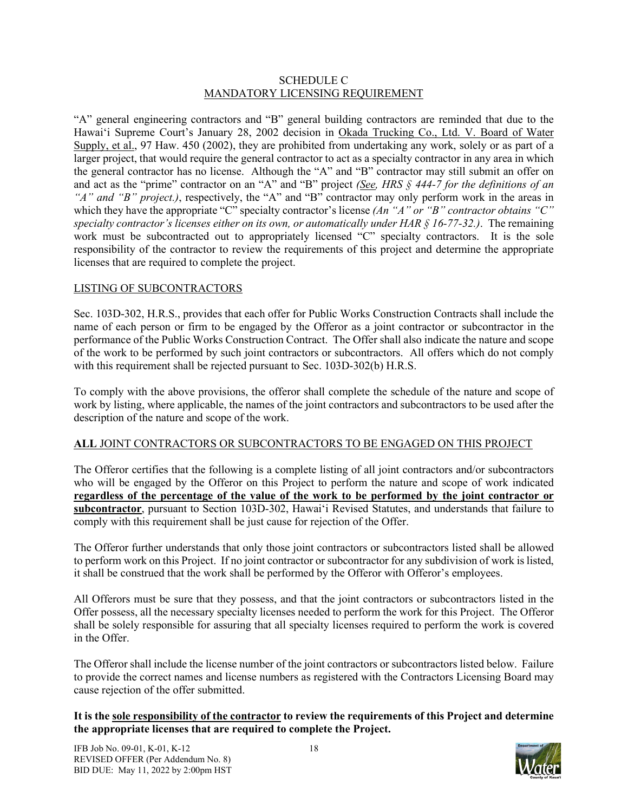#### SCHEDULE C MANDATORY LICENSING REQUIREMENT

"A" general engineering contractors and "B" general building contractors are reminded that due to the Hawaiʻi Supreme Court's January 28, 2002 decision in Okada Trucking Co., Ltd. V. Board of Water Supply, et al., 97 Haw. 450 (2002), they are prohibited from undertaking any work, solely or as part of a larger project, that would require the general contractor to act as a specialty contractor in any area in which the general contractor has no license. Although the "A" and "B" contractor may still submit an offer on and act as the "prime" contractor on an "A" and "B" project *(See, HRS § 444-7 for the definitions of an "A" and "B" project.)*, respectively, the "A" and "B" contractor may only perform work in the areas in which they have the appropriate "C" specialty contractor's license *(An "A" or "B" contractor obtains* "C" *specialty contractor's licenses either on its own, or automatically under HAR § 16-77-32.)*. The remaining work must be subcontracted out to appropriately licensed "C" specialty contractors. It is the sole responsibility of the contractor to review the requirements of this project and determine the appropriate licenses that are required to complete the project.

## LISTING OF SUBCONTRACTORS

Sec. 103D-302, H.R.S., provides that each offer for Public Works Construction Contracts shall include the name of each person or firm to be engaged by the Offeror as a joint contractor or subcontractor in the performance of the Public Works Construction Contract. The Offer shall also indicate the nature and scope of the work to be performed by such joint contractors or subcontractors. All offers which do not comply with this requirement shall be rejected pursuant to Sec. 103D-302(b) H.R.S.

To comply with the above provisions, the offeror shall complete the schedule of the nature and scope of work by listing, where applicable, the names of the joint contractors and subcontractors to be used after the description of the nature and scope of the work.

## **ALL** JOINT CONTRACTORS OR SUBCONTRACTORS TO BE ENGAGED ON THIS PROJECT

The Offeror certifies that the following is a complete listing of all joint contractors and/or subcontractors who will be engaged by the Offeror on this Project to perform the nature and scope of work indicated **regardless of the percentage of the value of the work to be performed by the joint contractor or subcontractor**, pursuant to Section 103D-302, Hawaiʻi Revised Statutes, and understands that failure to comply with this requirement shall be just cause for rejection of the Offer.

The Offeror further understands that only those joint contractors or subcontractors listed shall be allowed to perform work on this Project. If no joint contractor or subcontractor for any subdivision of work is listed, it shall be construed that the work shall be performed by the Offeror with Offeror's employees.

All Offerors must be sure that they possess, and that the joint contractors or subcontractors listed in the Offer possess, all the necessary specialty licenses needed to perform the work for this Project. The Offeror shall be solely responsible for assuring that all specialty licenses required to perform the work is covered in the Offer.

The Offeror shall include the license number of the joint contractors or subcontractors listed below. Failure to provide the correct names and license numbers as registered with the Contractors Licensing Board may cause rejection of the offer submitted.

## **It is the sole responsibility of the contractor to review the requirements of this Project and determine the appropriate licenses that are required to complete the Project.**

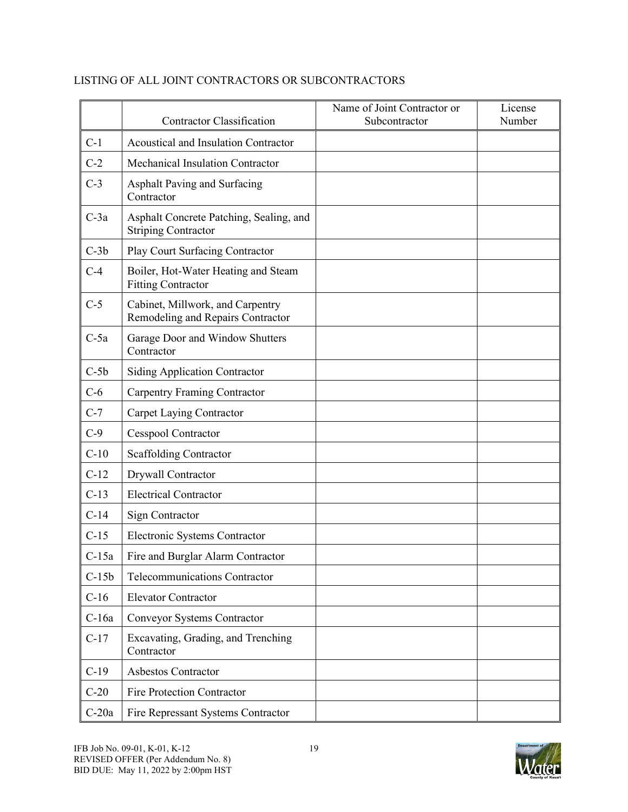|         | <b>Contractor Classification</b>                                      | Name of Joint Contractor or<br>Subcontractor | License<br>Number |
|---------|-----------------------------------------------------------------------|----------------------------------------------|-------------------|
| $C-1$   | Acoustical and Insulation Contractor                                  |                                              |                   |
| $C-2$   | Mechanical Insulation Contractor                                      |                                              |                   |
| $C-3$   | Asphalt Paving and Surfacing<br>Contractor                            |                                              |                   |
| $C-3a$  | Asphalt Concrete Patching, Sealing, and<br><b>Striping Contractor</b> |                                              |                   |
| $C-3b$  | Play Court Surfacing Contractor                                       |                                              |                   |
| $C-4$   | Boiler, Hot-Water Heating and Steam<br><b>Fitting Contractor</b>      |                                              |                   |
| $C-5$   | Cabinet, Millwork, and Carpentry<br>Remodeling and Repairs Contractor |                                              |                   |
| $C-5a$  | Garage Door and Window Shutters<br>Contractor                         |                                              |                   |
| $C-5b$  | <b>Siding Application Contractor</b>                                  |                                              |                   |
| $C-6$   | <b>Carpentry Framing Contractor</b>                                   |                                              |                   |
| $C-7$   | Carpet Laying Contractor                                              |                                              |                   |
| $C-9$   | <b>Cesspool Contractor</b>                                            |                                              |                   |
| $C-10$  | <b>Scaffolding Contractor</b>                                         |                                              |                   |
| $C-12$  | Drywall Contractor                                                    |                                              |                   |
| $C-13$  | <b>Electrical Contractor</b>                                          |                                              |                   |
| $C-14$  | Sign Contractor                                                       |                                              |                   |
| $C-15$  | Electronic Systems Contractor                                         |                                              |                   |
| $C-15a$ | Fire and Burglar Alarm Contractor                                     |                                              |                   |
| $C-15b$ | Telecommunications Contractor                                         |                                              |                   |
| $C-16$  | <b>Elevator Contractor</b>                                            |                                              |                   |
| $C-16a$ | Conveyor Systems Contractor                                           |                                              |                   |
| $C-17$  | Excavating, Grading, and Trenching<br>Contractor                      |                                              |                   |
| $C-19$  | Asbestos Contractor                                                   |                                              |                   |
| $C-20$  | Fire Protection Contractor                                            |                                              |                   |
| $C-20a$ | Fire Repressant Systems Contractor                                    |                                              |                   |

## LISTING OF ALL JOINT CONTRACTORS OR SUBCONTRACTORS

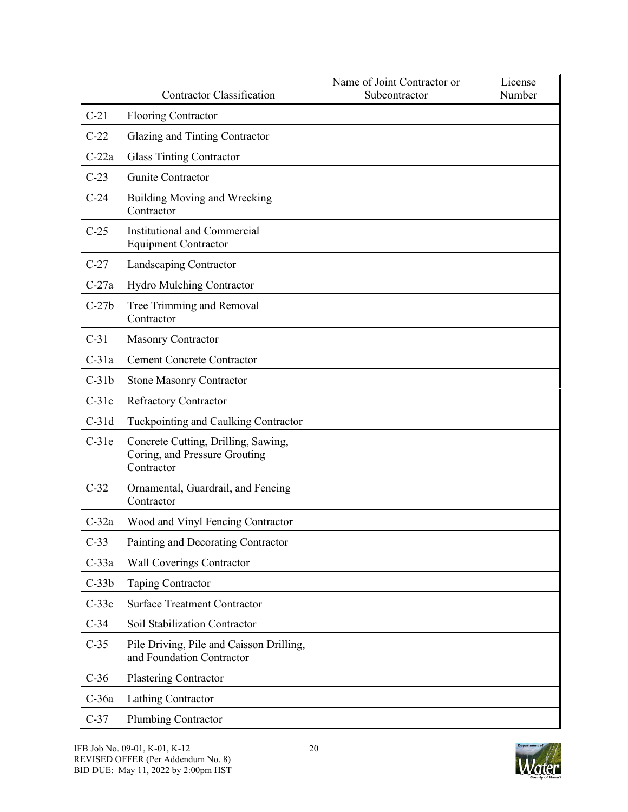|         | <b>Contractor Classification</b>                                                   | Name of Joint Contractor or<br>Subcontractor | License<br>Number |
|---------|------------------------------------------------------------------------------------|----------------------------------------------|-------------------|
| $C-21$  | <b>Flooring Contractor</b>                                                         |                                              |                   |
| $C-22$  | Glazing and Tinting Contractor                                                     |                                              |                   |
| $C-22a$ | <b>Glass Tinting Contractor</b>                                                    |                                              |                   |
| $C-23$  | Gunite Contractor                                                                  |                                              |                   |
| $C-24$  | Building Moving and Wrecking<br>Contractor                                         |                                              |                   |
| $C-25$  | Institutional and Commercial<br><b>Equipment Contractor</b>                        |                                              |                   |
| $C-27$  | Landscaping Contractor                                                             |                                              |                   |
| $C-27a$ | <b>Hydro Mulching Contractor</b>                                                   |                                              |                   |
| $C-27b$ | Tree Trimming and Removal<br>Contractor                                            |                                              |                   |
| $C-31$  | <b>Masonry Contractor</b>                                                          |                                              |                   |
| $C-31a$ | <b>Cement Concrete Contractor</b>                                                  |                                              |                   |
| $C-31b$ | <b>Stone Masonry Contractor</b>                                                    |                                              |                   |
| $C-31c$ | <b>Refractory Contractor</b>                                                       |                                              |                   |
| $C-31d$ | Tuckpointing and Caulking Contractor                                               |                                              |                   |
| $C-31e$ | Concrete Cutting, Drilling, Sawing,<br>Coring, and Pressure Grouting<br>Contractor |                                              |                   |
| $C-32$  | Ornamental, Guardrail, and Fencing<br>Contractor                                   |                                              |                   |
| $C-32a$ | Wood and Vinyl Fencing Contractor                                                  |                                              |                   |
| $C-33$  | Painting and Decorating Contractor                                                 |                                              |                   |
| $C-33a$ | Wall Coverings Contractor                                                          |                                              |                   |
| $C-33b$ | Taping Contractor                                                                  |                                              |                   |
| $C-33c$ | <b>Surface Treatment Contractor</b>                                                |                                              |                   |
| $C-34$  | Soil Stabilization Contractor                                                      |                                              |                   |
| $C-35$  | Pile Driving, Pile and Caisson Drilling,<br>and Foundation Contractor              |                                              |                   |
| $C-36$  | Plastering Contractor                                                              |                                              |                   |
| C-36a   | Lathing Contractor                                                                 |                                              |                   |
| $C-37$  | Plumbing Contractor                                                                |                                              |                   |

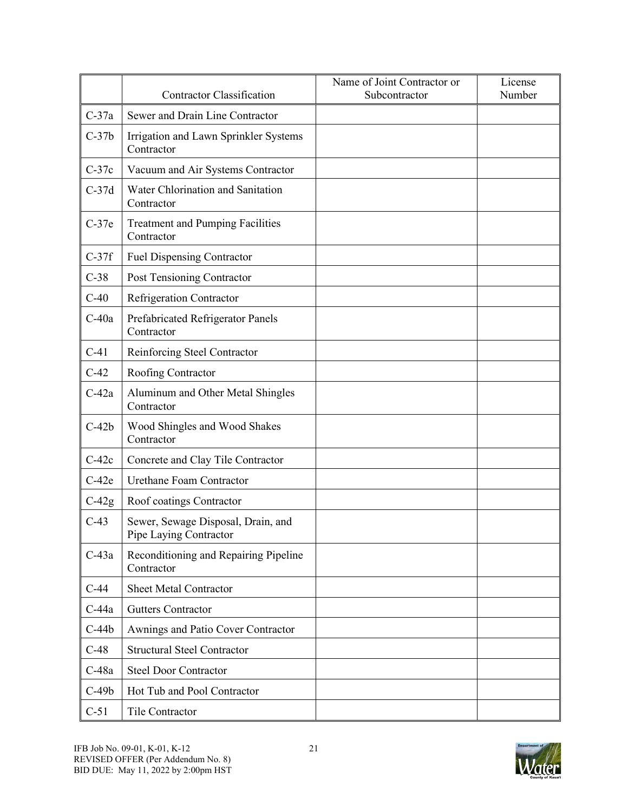|         | <b>Contractor Classification</b>                             | Name of Joint Contractor or<br>Subcontractor | License<br>Number |
|---------|--------------------------------------------------------------|----------------------------------------------|-------------------|
| $C-37a$ | Sewer and Drain Line Contractor                              |                                              |                   |
| $C-37b$ | Irrigation and Lawn Sprinkler Systems<br>Contractor          |                                              |                   |
| $C-37c$ | Vacuum and Air Systems Contractor                            |                                              |                   |
| $C-37d$ | Water Chlorination and Sanitation<br>Contractor              |                                              |                   |
| $C-37e$ | <b>Treatment and Pumping Facilities</b><br>Contractor        |                                              |                   |
| $C-37f$ | <b>Fuel Dispensing Contractor</b>                            |                                              |                   |
| $C-38$  | Post Tensioning Contractor                                   |                                              |                   |
| $C-40$  | <b>Refrigeration Contractor</b>                              |                                              |                   |
| $C-40a$ | Prefabricated Refrigerator Panels<br>Contractor              |                                              |                   |
| $C-41$  | Reinforcing Steel Contractor                                 |                                              |                   |
| $C-42$  | Roofing Contractor                                           |                                              |                   |
| $C-42a$ | Aluminum and Other Metal Shingles<br>Contractor              |                                              |                   |
| $C-42b$ | Wood Shingles and Wood Shakes<br>Contractor                  |                                              |                   |
| $C-42c$ | Concrete and Clay Tile Contractor                            |                                              |                   |
| $C-42e$ | <b>Urethane Foam Contractor</b>                              |                                              |                   |
| $C-42g$ | Roof coatings Contractor                                     |                                              |                   |
| $C-43$  | Sewer, Sewage Disposal, Drain, and<br>Pipe Laying Contractor |                                              |                   |
| $C-43a$ | Reconditioning and Repairing Pipeline<br>Contractor          |                                              |                   |
| $C-44$  | <b>Sheet Metal Contractor</b>                                |                                              |                   |
| $C-44a$ | <b>Gutters Contractor</b>                                    |                                              |                   |
| $C-44b$ | Awnings and Patio Cover Contractor                           |                                              |                   |
| $C-48$  | <b>Structural Steel Contractor</b>                           |                                              |                   |
| $C-48a$ | <b>Steel Door Contractor</b>                                 |                                              |                   |
| $C-49b$ | Hot Tub and Pool Contractor                                  |                                              |                   |
| $C-51$  | Tile Contractor                                              |                                              |                   |

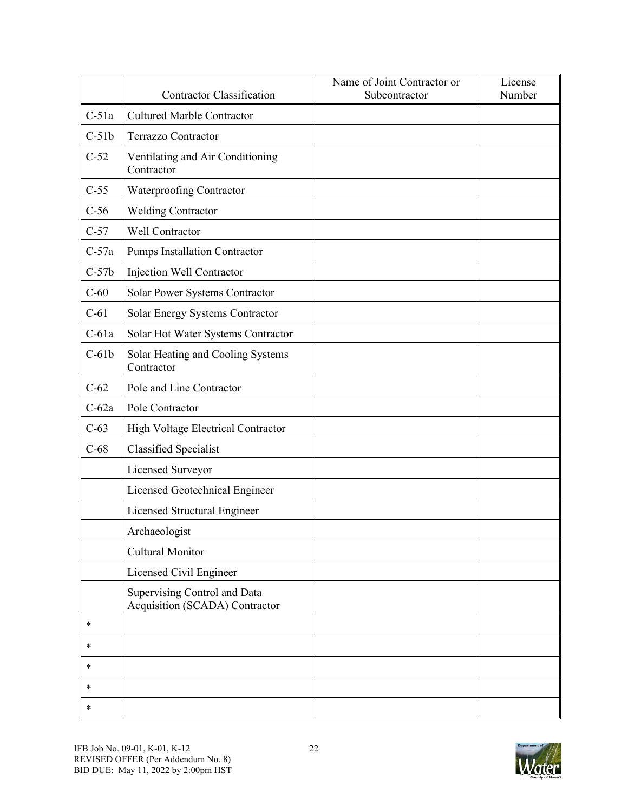|         | <b>Contractor Classification</b>                               | Name of Joint Contractor or<br>Subcontractor | License<br>Number |
|---------|----------------------------------------------------------------|----------------------------------------------|-------------------|
| $C-51a$ | <b>Cultured Marble Contractor</b>                              |                                              |                   |
| $C-51b$ | <b>Terrazzo Contractor</b>                                     |                                              |                   |
| $C-52$  | Ventilating and Air Conditioning<br>Contractor                 |                                              |                   |
| $C-55$  | Waterproofing Contractor                                       |                                              |                   |
| $C-56$  | <b>Welding Contractor</b>                                      |                                              |                   |
| $C-57$  | Well Contractor                                                |                                              |                   |
| $C-57a$ | Pumps Installation Contractor                                  |                                              |                   |
| $C-57b$ | Injection Well Contractor                                      |                                              |                   |
| $C-60$  | Solar Power Systems Contractor                                 |                                              |                   |
| $C-61$  | Solar Energy Systems Contractor                                |                                              |                   |
| $C-61a$ | Solar Hot Water Systems Contractor                             |                                              |                   |
| $C-61b$ | Solar Heating and Cooling Systems<br>Contractor                |                                              |                   |
| $C-62$  | Pole and Line Contractor                                       |                                              |                   |
| $C-62a$ | Pole Contractor                                                |                                              |                   |
| $C-63$  | High Voltage Electrical Contractor                             |                                              |                   |
| $C-68$  | <b>Classified Specialist</b>                                   |                                              |                   |
|         | Licensed Surveyor                                              |                                              |                   |
|         | Licensed Geotechnical Engineer                                 |                                              |                   |
|         | Licensed Structural Engineer                                   |                                              |                   |
|         | Archaeologist                                                  |                                              |                   |
|         | Cultural Monitor                                               |                                              |                   |
|         | Licensed Civil Engineer                                        |                                              |                   |
|         | Supervising Control and Data<br>Acquisition (SCADA) Contractor |                                              |                   |
| $\ast$  |                                                                |                                              |                   |
| $\ast$  |                                                                |                                              |                   |
| $\ast$  |                                                                |                                              |                   |
| $\ast$  |                                                                |                                              |                   |
| $\ast$  |                                                                |                                              |                   |

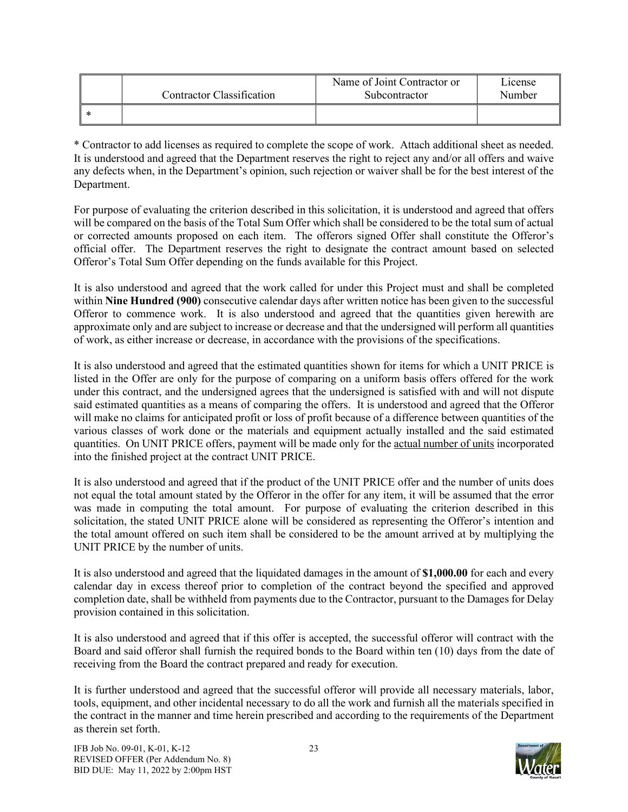| <b>Contractor Classification</b> | Name of Joint Contractor or<br>Subcontractor | L <sub>1</sub> cense<br>Number |
|----------------------------------|----------------------------------------------|--------------------------------|
|                                  |                                              |                                |

\* Contractor to add licenses as required to complete the scope of work. Attach additional sheet as needed. It is understood and agreed that the Department reserves the right to reject any and/or all offers and waive any defects when, in the Department's opinion, such rejection or waiver shall be for the best interest of the Department.

For purpose of evaluating the criterion described in this solicitation, it is understood and agreed that offers will be compared on the basis of the Total Sum Offer which shall be considered to be the total sum of actual or corrected amounts proposed on each item. The offerors signed Offer shall constitute the Offeror's official offer. The Department reserves the right to designate the contract amount based on selected Offeror's Total Sum Offer depending on the funds available for this Project.

It is also understood and agreed that the work called for under this Project must and shall be completed within **Nine Hundred (900)** consecutive calendar days after written notice has been given to the successful Offeror to commence work. It is also understood and agreed that the quantities given herewith are approximate only and are subject to increase or decrease and that the undersigned will perform all quantities of work, as either increase or decrease, in accordance with the provisions of the specifications.

It is also understood and agreed that the estimated quantities shown for items for which a UNIT PRICE is listed in the Offer are only for the purpose of comparing on a uniform basis offers offered for the work under this contract, and the undersigned agrees that the undersigned is satisfied with and will not dispute said estimated quantities as a means of comparing the offers. It is understood and agreed that the Offeror will make no claims for anticipated profit or loss of profit because of a difference between quantities of the various classes of work done or the materials and equipment actually installed and the said estimated quantities. On UNIT PRICE offers, payment will be made only for the actual number of units incorporated into the finished project at the contract UNIT PRICE.

It is also understood and agreed that if the product of the UNIT PRICE offer and the number of units does not equal the total amount stated by the Offeror in the offer for any item, it will be assumed that the error was made in computing the total amount. For purpose of evaluating the criterion described in this solicitation, the stated UNIT PRICE alone will be considered as representing the Offeror's intention and the total amount offered on such item shall be considered to be the amount arrived at by multiplying the UNIT PRICE by the number of units.

It is also understood and agreed that the liquidated damages in the amount of **\$1,000.00** for each and every calendar day in excess thereof prior to completion of the contract beyond the specified and approved completion date, shall be withheld from payments due to the Contractor, pursuant to the Damages for Delay provision contained in this solicitation.

It is also understood and agreed that if this offer is accepted, the successful offeror will contract with the Board and said offeror shall furnish the required bonds to the Board within ten (10) days from the date of receiving from the Board the contract prepared and ready for execution.

It is further understood and agreed that the successful offeror will provide all necessary materials, labor, tools, equipment, and other incidental necessary to do all the work and furnish all the materials specified in the contract in the manner and time herein prescribed and according to the requirements of the Department as therein set forth.

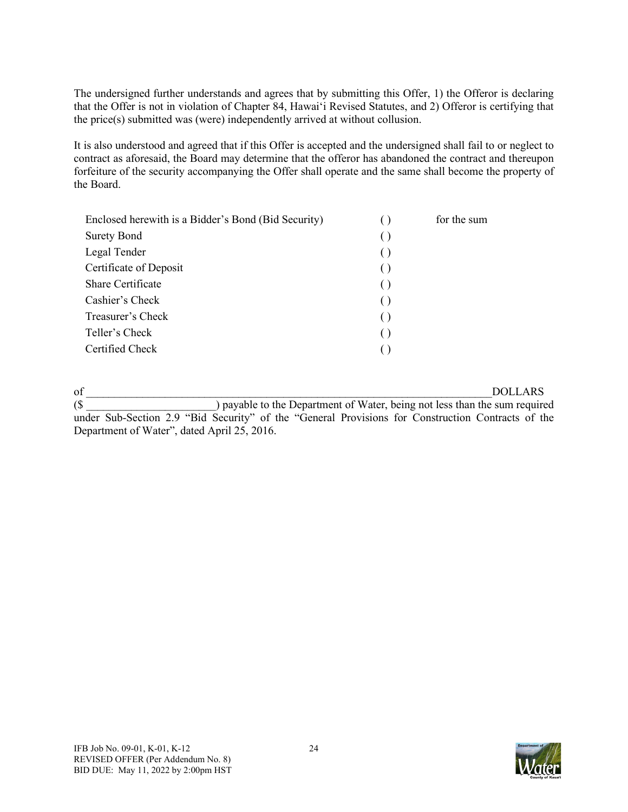The undersigned further understands and agrees that by submitting this Offer, 1) the Offeror is declaring that the Offer is not in violation of Chapter 84, Hawai'i Revised Statutes, and 2) Offeror is certifying that the price(s) submitted was (were) independently arrived at without collusion.

It is also understood and agreed that if this Offer is accepted and the undersigned shall fail to or neglect to contract as aforesaid, the Board may determine that the offeror has abandoned the contract and thereupon forfeiture of the security accompanying the Offer shall operate and the same shall become the property of the Board.

| Enclosed herewith is a Bidder's Bond (Bid Security) | for the sum |
|-----------------------------------------------------|-------------|
| <b>Surety Bond</b>                                  |             |
| Legal Tender                                        |             |
| Certificate of Deposit                              |             |
| Share Certificate                                   |             |
| Cashier's Check                                     |             |
| Treasurer's Check                                   |             |
| Teller's Check                                      |             |
| Certified Check                                     |             |
|                                                     |             |

of \_\_\_\_\_\_\_\_\_\_\_\_\_\_\_\_\_\_\_\_\_\_\_\_\_\_\_\_\_\_\_\_\_\_\_\_\_\_\_\_\_\_\_\_\_\_\_\_\_\_\_\_\_\_\_\_\_\_\_\_\_\_\_\_\_\_\_\_\_\_\_\_DOLLARS (\$ \_\_\_\_\_\_\_\_\_\_\_\_\_\_\_\_\_\_\_\_\_\_\_) payable to the Department of Water, being not less than the sum required under Sub-Section 2.9 "Bid Security" of the "General Provisions for Construction Contracts of the Department of Water", dated April 25, 2016.

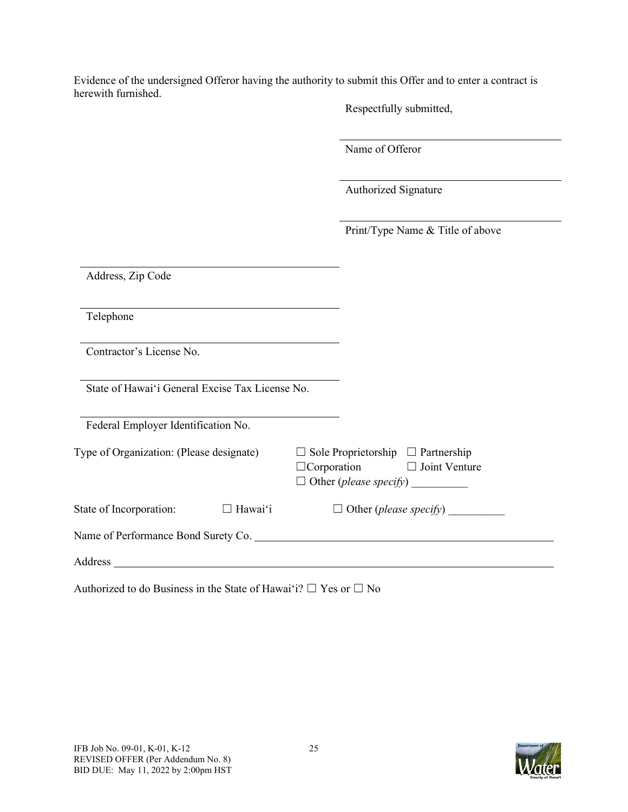Evidence of the undersigned Offeror having the authority to submit this Offer and to enter a contract is herewith furnished.

Respectfully submitted,

Name of Offeror

Authorized Signature

Print/Type Name & Title of above

| Address, Zip Code                                                                                                          |                                                                                                                      |
|----------------------------------------------------------------------------------------------------------------------------|----------------------------------------------------------------------------------------------------------------------|
| Telephone                                                                                                                  |                                                                                                                      |
| Contractor's License No.                                                                                                   |                                                                                                                      |
| State of Hawai'i General Excise Tax License No.                                                                            |                                                                                                                      |
| Federal Employer Identification No.                                                                                        |                                                                                                                      |
| Type of Organization: (Please designate)                                                                                   | Sole Proprietorship $\Box$ Partnership<br>$\Box$ Corporation $\Box$ Joint Venture<br>Other ( <i>please specify</i> ) |
| $\Box$ Hawai'i<br>State of Incorporation:                                                                                  | $\Box$ Other ( <i>please specify</i> )                                                                               |
|                                                                                                                            |                                                                                                                      |
| Address<br>the contract of the contract of the contract of the contract of the contract of the contract of the contract of |                                                                                                                      |

Authorized to do Business in the State of Hawaiʻi?  $\Box$  Yes or  $\Box$  No